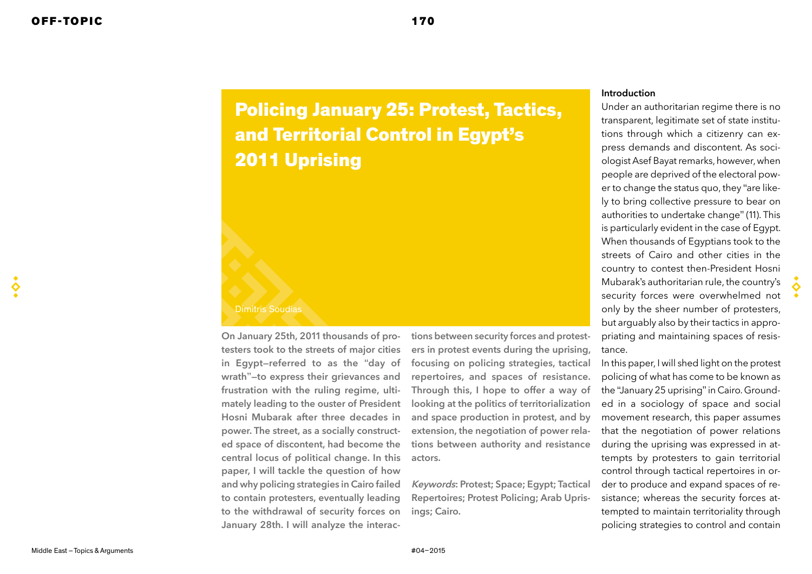# Policing January 25: Protest, Tactics, and Territorial Control in Egypt's 2011 Uprising

#### Dimitris Soudias

On January 25th, 2011 thousands of protesters took to the streets of major cities in Egypt—referred to as the "day of wrath"—to express their grievances and frustration with the ruling regime, ultimately leading to the ouster of President Hosni Mubarak after three decades in power. The street, as a socially constructed space of discontent, had become the central locus of political change. In this paper, I will tackle the question of how and why policing strategies in Cairo failed to contain protesters, eventually leading to the withdrawal of security forces on January 28th. I will analyze the interactions between security forces and protesters in protest events during the uprising, focusing on policing strategies, tactical repertoires, and spaces of resistance. Through this, I hope to offer a way of looking at the politics of territorialization and space production in protest, and by extension, the negotiation of power relations between authority and resistance actors.

Keywords: Protest; Space; Egypt; Tactical Repertoires; Protest Policing; Arab Uprisings; Cairo.

## Introduction

Under an authoritarian regime there is no transparent, legitimate set of state institutions through which a citizenry can express demands and discontent. As sociologist Asef Bayat remarks, however, when people are deprived of the electoral power to change the status quo, they "are likely to bring collective pressure to bear on authorities to undertake change" (11). This is particularly evident in the case of Egypt. When thousands of Egyptians took to the streets of Cairo and other cities in the country to contest then-President Hosni Mubarak's authoritarian rule, the country's security forces were overwhelmed not only by the sheer number of protesters, but arguably also by their tactics in appropriating and maintaining spaces of resistance.

In this paper, I will shed light on the protest policing of what has come to be known as the "January 25 uprising" in Cairo. Grounded in a sociology of space and social movement research, this paper assumes that the negotiation of power relations during the uprising was expressed in attempts by protesters to gain territorial control through tactical repertoires in order to produce and expand spaces of resistance; whereas the security forces attempted to maintain territoriality through policing strategies to control and contain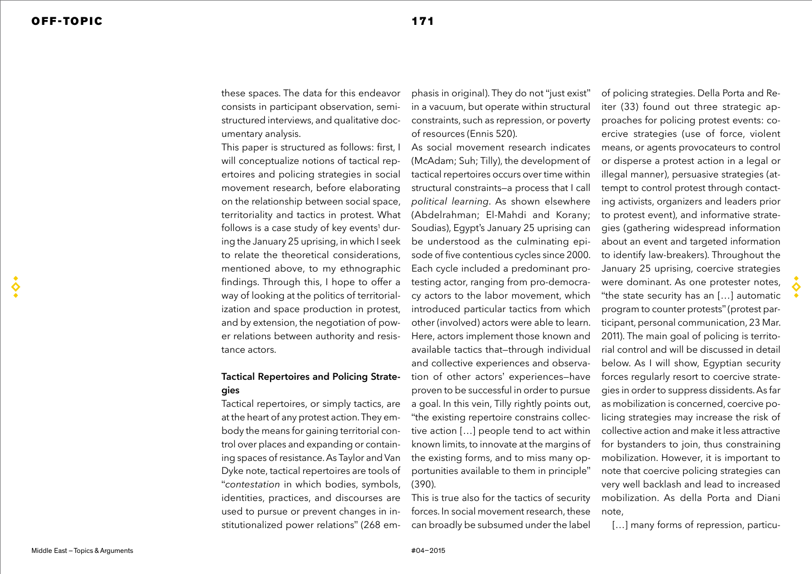these spaces. The data for this endeavor consists in participant observation, semistructured interviews, and qualitative documentary analysis.

This paper is structured as follows: first, I will conceptualize notions of tactical repertoires and policing strategies in social movement research, before elaborating on the relationship between social space, territoriality and tactics in protest. What follows is a case study of key events<sup>1</sup> during the January 25 uprising, in which I seek to relate the theoretical considerations, mentioned above, to my ethnographic findings. Through this, I hope to offer a way of looking at the politics of territorialization and space production in protest, and by extension, the negotiation of power relations between authority and resistance actors.

# Tactical Repertoires and Policing Strategies

Tactical repertoires, or simply tactics, are at the heart of any protest action. They embody the means for gaining territorial control over places and expanding or containing spaces of resistance. As Taylor and Van Dyke note, tactical repertoires are tools of "*contestation* in which bodies, symbols, identities, practices, and discourses are used to pursue or prevent changes in institutionalized power relations" (268 em-

phasis in original). They do not "just exist" in a vacuum, but operate within structural constraints, such as repression, or poverty of resources (Ennis 520).

As social movement research indicates (McAdam; Suh; Tilly), the development of tactical repertoires occurs over time within structural constraints—a process that I call *political learning*. As shown elsewhere (Abdelrahman; El-Mahdi and Korany; Soudias), Egypt's January 25 uprising can be understood as the culminating episode of five contentious cycles since 2000. Each cycle included a predominant protesting actor, ranging from pro-democracy actors to the labor movement, which introduced particular tactics from which other (involved) actors were able to learn. Here, actors implement those known and available tactics that—through individual and collective experiences and observation of other actors' experiences—have proven to be successful in order to pursue a goal. In this vein, Tilly rightly points out, "the existing repertoire constrains collective action […] people tend to act within known limits, to innovate at the margins of the existing forms, and to miss many opportunities available to them in principle" (390).

This is true also for the tactics of security forces. In social movement research, these can broadly be subsumed under the label

of policing strategies. Della Porta and Reiter (33) found out three strategic approaches for policing protest events: coercive strategies (use of force, violent means, or agents provocateurs to control or disperse a protest action in a legal or illegal manner), persuasive strategies (attempt to control protest through contacting activists, organizers and leaders prior to protest event), and informative strategies (gathering widespread information about an event and targeted information to identify law-breakers). Throughout the January 25 uprising, coercive strategies were dominant. As one protester notes, "the state security has an […] automatic program to counter protests" (protest participant, personal communication, 23 Mar. 2011). The main goal of policing is territorial control and will be discussed in detail below. As I will show, Egyptian security forces regularly resort to coercive strategies in order to suppress dissidents. As far as mobilization is concerned, coercive policing strategies may increase the risk of collective action and make it less attractive for bystanders to join, thus constraining mobilization. However, it is important to note that coercive policing strategies can very well backlash and lead to increased mobilization. As della Porta and Diani

[...] many forms of repression, particu-

note,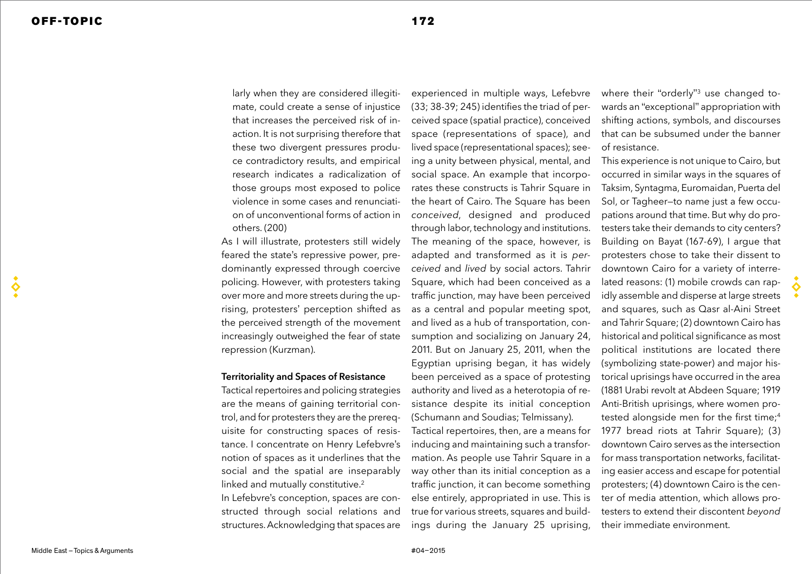larly when they are considered illegitimate, could create a sense of injustice that increases the perceived risk of inaction. It is not surprising therefore that these two divergent pressures produce contradictory results, and empirical research indicates a radicalization of those groups most exposed to police violence in some cases and renunciation of unconventional forms of action in others. (200)

As I will illustrate, protesters still widely feared the state's repressive power, predominantly expressed through coercive policing. However, with protesters taking over more and more streets during the uprising, protesters' perception shifted as the perceived strength of the movement increasingly outweighed the fear of state repression (Kurzman).

## Territoriality and Spaces of Resistance

Tactical repertoires and policing strategies are the means of gaining territorial control, and for protesters they are the prerequisite for constructing spaces of resistance. I concentrate on Henry Lefebvre's notion of spaces as it underlines that the social and the spatial are inseparably linked and mutually constitutive.<sup>2</sup>

In Lefebvre's conception, spaces are constructed through social relations and structures. Acknowledging that spaces are

experienced in multiple ways, Lefebvre (33; 38-39; 245) identifies the triad of perceived space (spatial practice), conceived space (representations of space), and lived space (representational spaces); seeing a unity between physical, mental, and social space. An example that incorporates these constructs is Tahrir Square in the heart of Cairo. The Square has been *conceived*, designed and produced through labor, technology and institutions. The meaning of the space, however, is adapted and transformed as it is *perceived* and *lived* by social actors. Tahrir Square, which had been conceived as a traffic junction, may have been perceived as a central and popular meeting spot, and lived as a hub of transportation, consumption and socializing on January 24, 2011. But on January 25, 2011, when the Egyptian uprising began, it has widely been perceived as a space of protesting authority and lived as a heterotopia of resistance despite its initial conception (Schumann and Soudias; Telmissany).

Tactical repertoires, then, are a means for inducing and maintaining such a transformation. As people use Tahrir Square in a way other than its initial conception as a traffic junction, it can become something else entirely, appropriated in use. This is true for various streets, squares and buildings during the January 25 uprising,

where their "orderly"<sup>3</sup> use changed towards an "exceptional" appropriation with shifting actions, symbols, and discourses that can be subsumed under the banner of resistance.

This experience is not unique to Cairo, but occurred in similar ways in the squares of Taksim, Syntagma, Euromaidan, Puerta del Sol, or Tagheer—to name just a few occupations around that time. But why do protesters take their demands to city centers? Building on Bayat (167-69), I argue that protesters chose to take their dissent to downtown Cairo for a variety of interrelated reasons: (1) mobile crowds can rapidly assemble and disperse at large streets and squares, such as Qasr al-Aini Street and Tahrir Square; (2) downtown Cairo has historical and political significance as most political institutions are located there (symbolizing state-power) and major historical uprisings have occurred in the area (1881 Urabi revolt at Abdeen Square; 1919 Anti-British uprisings, where women protested alongside men for the first time;<sup>4</sup> 1977 bread riots at Tahrir Square); (3) downtown Cairo serves as the intersection for mass transportation networks, facilitating easier access and escape for potential protesters; (4) downtown Cairo is the center of media attention, which allows protesters to extend their discontent *beyond* their immediate environment.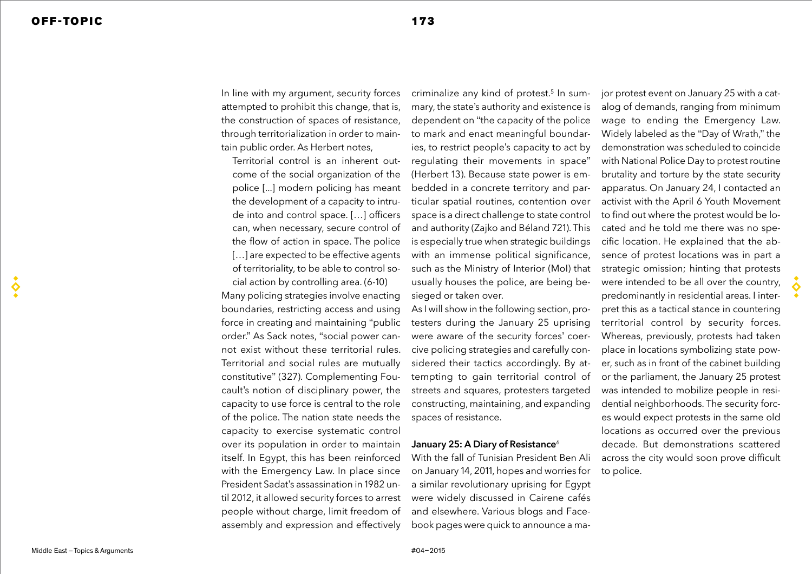$\breve{\mathbf{S}}$ 

In line with my argument, security forces attempted to prohibit this change, that is, the construction of spaces of resistance, through territorialization in order to maintain public order. As Herbert notes,

Territorial control is an inherent outcome of the social organization of the police [...] modern policing has meant the development of a capacity to intrude into and control space. […] officers can, when necessary, secure control of the flow of action in space. The police [...] are expected to be effective agents of territoriality, to be able to control social action by controlling area. (6-10)

Many policing strategies involve enacting boundaries, restricting access and using force in creating and maintaining "public order." As Sack notes, "social power cannot exist without these territorial rules. Territorial and social rules are mutually constitutive" (327). Complementing Foucault's notion of disciplinary power, the capacity to use force is central to the role of the police. The nation state needs the capacity to exercise systematic control over its population in order to maintain itself. In Egypt, this has been reinforced with the Emergency Law. In place since President Sadat's assassination in 1982 until 2012, it allowed security forces to arrest people without charge, limit freedom of assembly and expression and effectively

criminalize any kind of protest.<sup>5</sup> In summary, the state's authority and existence is dependent on "the capacity of the police to mark and enact meaningful boundaries, to restrict people's capacity to act by regulating their movements in space" (Herbert 13). Because state power is embedded in a concrete territory and particular spatial routines, contention over space is a direct challenge to state control and authority (Zajko and Béland 721). This is especially true when strategic buildings with an immense political significance, such as the Ministry of Interior (MoI) that usually houses the police, are being besieged or taken over.

As I will show in the following section, protesters during the January 25 uprising were aware of the security forces' coercive policing strategies and carefully considered their tactics accordingly. By attempting to gain territorial control of streets and squares, protesters targeted constructing, maintaining, and expanding spaces of resistance.

## January 25: A Diary of Resistance<sup>6</sup>

With the fall of Tunisian President Ben Ali on January 14, 2011, hopes and worries for a similar revolutionary uprising for Egypt were widely discussed in Cairene cafés and elsewhere. Various blogs and Facebook pages were quick to announce a ma-

jor protest event on January 25 with a catalog of demands, ranging from minimum wage to ending the Emergency Law. Widely labeled as the "Day of Wrath," the demonstration was scheduled to coincide with National Police Day to protest routine brutality and torture by the state security apparatus. On January 24, I contacted an activist with the April 6 Youth Movement to find out where the protest would be located and he told me there was no specific location. He explained that the absence of protest locations was in part a strategic omission; hinting that protests were intended to be all over the country, predominantly in residential areas. I interpret this as a tactical stance in countering territorial control by security forces. Whereas, previously, protests had taken place in locations symbolizing state power, such as in front of the cabinet building or the parliament, the January 25 protest was intended to mobilize people in residential neighborhoods. The security forces would expect protests in the same old locations as occurred over the previous decade. But demonstrations scattered across the city would soon prove difficult to police.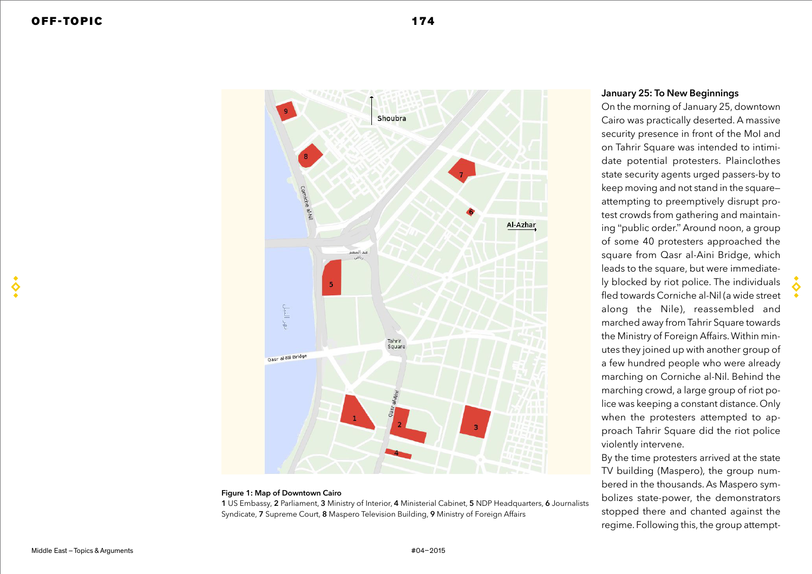

#### **Figure 1: Map of Downtown Cairo**

**1** US Embassy, **2** Parliament, **3** Ministry of Interior, **4** Ministerial Cabinet, **5** NDP Headquarters, **6** Journalists Syndicate, **7** Supreme Court, **8** Maspero Television Building, **9** Ministry of Foreign Affairs

## January 25: To New Beginnings

On the morning of January 25, downtown Cairo was practically deserted. A massive security presence in front of the MoI and on Tahrir Square was intended to intimidate potential protesters. Plainclothes state security agents urged passers-by to keep moving and not stand in the square attempting to preemptively disrupt protest crowds from gathering and maintaining "public order." Around noon, a group of some 40 protesters approached the square from Qasr al-Aini Bridge, which leads to the square, but were immediately blocked by riot police. The individuals fled towards Corniche al-Nil (a wide street along the Nile), reassembled and marched away from Tahrir Square towards the Ministry of Foreign Affairs. Within minutes they joined up with another group of a few hundred people who were already marching on Corniche al-Nil. Behind the marching crowd, a large group of riot police was keeping a constant distance. Only when the protesters attempted to approach Tahrir Square did the riot police violently intervene.

By the time protesters arrived at the state TV building (Maspero), the group numbered in the thousands. As Maspero symbolizes state-power, the demonstrators stopped there and chanted against the regime. Following this, the group attempt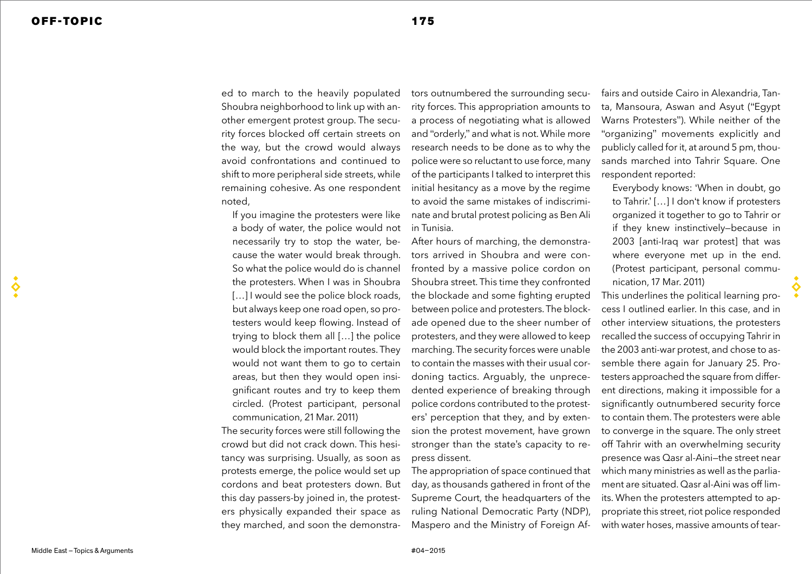♦

ed to march to the heavily populated Shoubra neighborhood to link up with another emergent protest group. The security forces blocked off certain streets on the way, but the crowd would always avoid confrontations and continued to shift to more peripheral side streets, while remaining cohesive. As one respondent noted,

If you imagine the protesters were like a body of water, the police would not necessarily try to stop the water, because the water would break through. So what the police would do is channel the protesters. When I was in Shoubra [...] I would see the police block roads, but always keep one road open, so protesters would keep flowing. Instead of trying to block them all […] the police would block the important routes. They would not want them to go to certain areas, but then they would open insignificant routes and try to keep them circled. (Protest participant, personal communication, 21 Mar. 2011)

The security forces were still following the crowd but did not crack down. This hesitancy was surprising. Usually, as soon as protests emerge, the police would set up cordons and beat protesters down. But this day passers-by joined in, the protesters physically expanded their space as they marched, and soon the demonstra-

tors outnumbered the surrounding security forces. This appropriation amounts to a process of negotiating what is allowed and "orderly," and what is not. While more research needs to be done as to why the police were so reluctant to use force, many of the participants I talked to interpret this initial hesitancy as a move by the regime to avoid the same mistakes of indiscriminate and brutal protest policing as Ben Ali in Tunisia.

After hours of marching, the demonstrators arrived in Shoubra and were confronted by a massive police cordon on Shoubra street. This time they confronted the blockade and some fighting erupted between police and protesters. The blockade opened due to the sheer number of protesters, and they were allowed to keep marching. The security forces were unable to contain the masses with their usual cordoning tactics. Arguably, the unprecedented experience of breaking through police cordons contributed to the protesters' perception that they, and by extension the protest movement, have grown stronger than the state's capacity to repress dissent.

The appropriation of space continued that day, as thousands gathered in front of the Supreme Court, the headquarters of the ruling National Democratic Party (NDP), Maspero and the Ministry of Foreign Af-

fairs and outside Cairo in Alexandria, Tanta, Mansoura, Aswan and Asyut ("Egypt Warns Protesters"). While neither of the "organizing" movements explicitly and publicly called for it, at around 5 pm, thousands marched into Tahrir Square. One respondent reported:

Everybody knows: 'When in doubt, go to Tahrir.' […] I don't know if protesters organized it together to go to Tahrir or if they knew instinctively—because in 2003 [anti-Iraq war protest] that was where everyone met up in the end. (Protest participant, personal communication, 17 Mar. 2011)

This underlines the political learning process I outlined earlier. In this case, and in other interview situations, the protesters recalled the success of occupying Tahrir in the 2003 anti-war protest, and chose to assemble there again for January 25. Protesters approached the square from different directions, making it impossible for a significantly outnumbered security force to contain them. The protesters were able to converge in the square. The only street off Tahrir with an overwhelming security presence was Qasr al-Aini—the street near which many ministries as well as the parliament are situated. Qasr al-Aini was off limits. When the protesters attempted to appropriate this street, riot police responded with water hoses, massive amounts of tear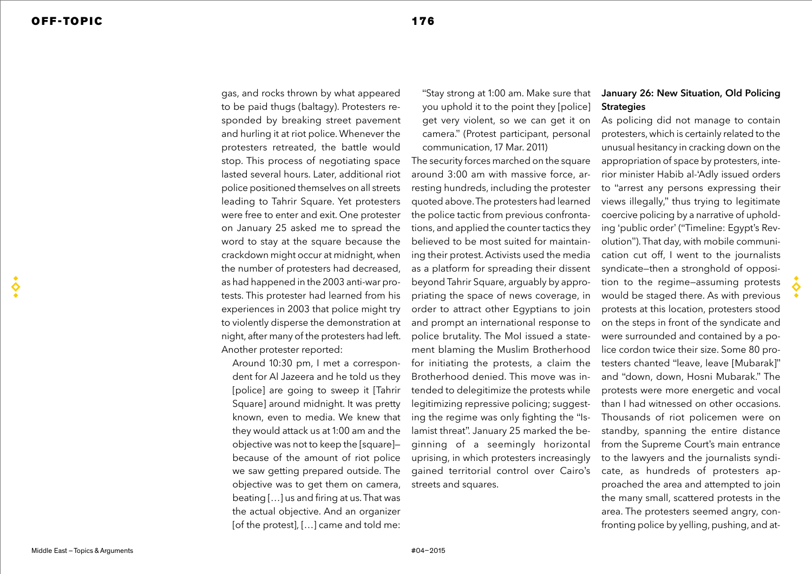gas, and rocks thrown by what appeared to be paid thugs (baltagy). Protesters responded by breaking street pavement and hurling it at riot police. Whenever the protesters retreated, the battle would stop. This process of negotiating space lasted several hours. Later, additional riot police positioned themselves on all streets leading to Tahrir Square. Yet protesters were free to enter and exit. One protester on January 25 asked me to spread the word to stay at the square because the crackdown might occur at midnight, when the number of protesters had decreased, as had happened in the 2003 anti-war protests. This protester had learned from his experiences in 2003 that police might try to violently disperse the demonstration at night, after many of the protesters had left. Another protester reported:

Around 10:30 pm, I met a correspondent for Al Jazeera and he told us they [police] are going to sweep it [Tahrir Square] around midnight. It was pretty known, even to media. We knew that they would attack us at 1:00 am and the objective was not to keep the [square] because of the amount of riot police we saw getting prepared outside. The objective was to get them on camera, beating […] us and firing at us. That was the actual objective. And an organizer [of the protest], [...] came and told me:

"Stay strong at 1:00 am. Make sure that you uphold it to the point they [police] get very violent, so we can get it on camera." (Protest participant, personal communication, 17 Mar. 2011)

The security forces marched on the square around 3:00 am with massive force, arresting hundreds, including the protester quoted above. The protesters had learned the police tactic from previous confrontations, and applied the counter tactics they believed to be most suited for maintaining their protest. Activists used the media as a platform for spreading their dissent beyond Tahrir Square, arguably by appropriating the space of news coverage, in order to attract other Egyptians to join and prompt an international response to police brutality. The MoI issued a statement blaming the Muslim Brotherhood for initiating the protests, a claim the Brotherhood denied. This move was intended to delegitimize the protests while legitimizing repressive policing; suggesting the regime was only fighting the "Islamist threat". January 25 marked the beginning of a seemingly horizontal uprising, in which protesters increasingly gained territorial control over Cairo's streets and squares.

# January 26: New Situation, Old Policing **Strategies**

As policing did not manage to contain protesters, which is certainly related to the unusual hesitancy in cracking down on the appropriation of space by protesters, interior minister Habib al-'Adly issued orders to "arrest any persons expressing their views illegally," thus trying to legitimate coercive policing by a narrative of upholding 'public order' ("Timeline: Egypt's Revolution"). That day, with mobile communication cut off, I went to the journalists syndicate—then a stronghold of opposition to the regime—assuming protests would be staged there. As with previous protests at this location, protesters stood on the steps in front of the syndicate and were surrounded and contained by a police cordon twice their size. Some 80 protesters chanted "leave, leave [Mubarak]" and "down, down, Hosni Mubarak." The protests were more energetic and vocal than I had witnessed on other occasions. Thousands of riot policemen were on standby, spanning the entire distance from the Supreme Court's main entrance to the lawyers and the journalists syndicate, as hundreds of protesters approached the area and attempted to join the many small, scattered protests in the area. The protesters seemed angry, confronting police by yelling, pushing, and at-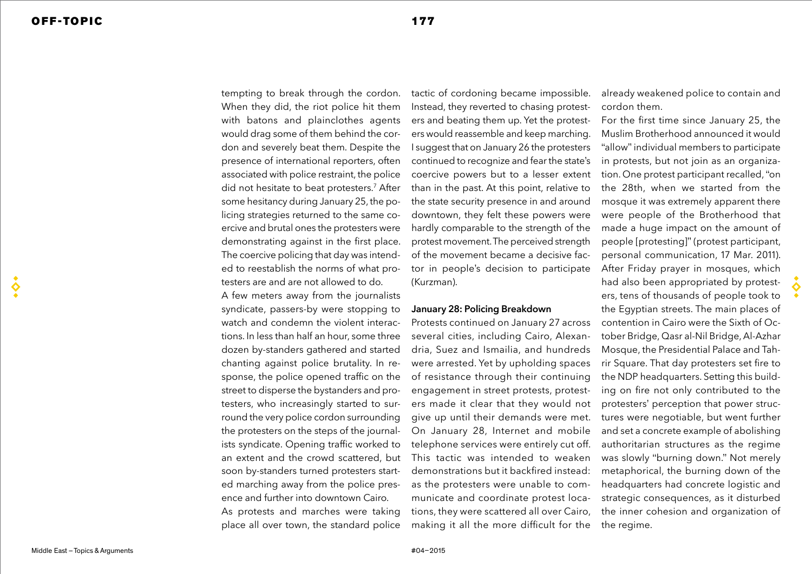tempting to break through the cordon. When they did, the riot police hit them with batons and plainclothes agents would drag some of them behind the cordon and severely beat them. Despite the presence of international reporters, often associated with police restraint, the police did not hesitate to beat protesters.<sup>7</sup> After some hesitancy during January 25, the policing strategies returned to the same coercive and brutal ones the protesters were demonstrating against in the first place. The coercive policing that day was intended to reestablish the norms of what protesters are and are not allowed to do.

A few meters away from the journalists syndicate, passers-by were stopping to watch and condemn the violent interactions. In less than half an hour, some three dozen by-standers gathered and started chanting against police brutality. In response, the police opened traffic on the street to disperse the bystanders and protesters, who increasingly started to surround the very police cordon surrounding the protesters on the steps of the journalists syndicate. Opening traffic worked to an extent and the crowd scattered, but soon by-standers turned protesters started marching away from the police presence and further into downtown Cairo. As protests and marches were taking place all over town, the standard police

tactic of cordoning became impossible. Instead, they reverted to chasing protesters and beating them up. Yet the protesters would reassemble and keep marching. I suggest that on January 26 the protesters continued to recognize and fear the state's coercive powers but to a lesser extent than in the past. At this point, relative to the state security presence in and around downtown, they felt these powers were hardly comparable to the strength of the protest movement. The perceived strength of the movement became a decisive factor in people's decision to participate (Kurzman).

## January 28: Policing Breakdown

Protests continued on January 27 across several cities, including Cairo, Alexandria, Suez and Ismailia, and hundreds were arrested. Yet by upholding spaces of resistance through their continuing engagement in street protests, protesters made it clear that they would not give up until their demands were met. On January 28, Internet and mobile telephone services were entirely cut off. This tactic was intended to weaken demonstrations but it backfired instead: as the protesters were unable to communicate and coordinate protest locations, they were scattered all over Cairo, making it all the more difficult for the already weakened police to contain and cordon them.

For the first time since January 25, the Muslim Brotherhood announced it would "allow" individual members to participate in protests, but not join as an organization. One protest participant recalled, "on the 28th, when we started from the mosque it was extremely apparent there were people of the Brotherhood that made a huge impact on the amount of people [protesting]" (protest participant, personal communication, 17 Mar. 2011). After Friday prayer in mosques, which had also been appropriated by protesters, tens of thousands of people took to the Egyptian streets. The main places of contention in Cairo were the Sixth of October Bridge, Qasr al-Nil Bridge, Al-Azhar Mosque, the Presidential Palace and Tahrir Square. That day protesters set fire to the NDP headquarters. Setting this building on fire not only contributed to the protesters' perception that power structures were negotiable, but went further and set a concrete example of abolishing authoritarian structures as the regime was slowly "burning down." Not merely metaphorical, the burning down of the headquarters had concrete logistic and strategic consequences, as it disturbed the inner cohesion and organization of

the regime.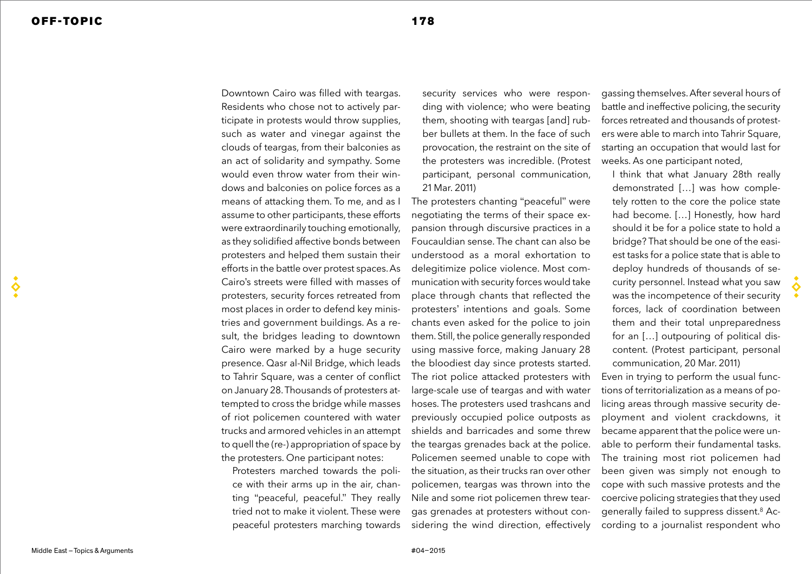Downtown Cairo was filled with teargas. Residents who chose not to actively participate in protests would throw supplies, such as water and vinegar against the clouds of teargas, from their balconies as an act of solidarity and sympathy. Some would even throw water from their windows and balconies on police forces as a means of attacking them. To me, and as I assume to other participants, these efforts were extraordinarily touching emotionally, as they solidified affective bonds between protesters and helped them sustain their efforts in the battle over protest spaces. As Cairo's streets were filled with masses of protesters, security forces retreated from most places in order to defend key ministries and government buildings. As a result, the bridges leading to downtown Cairo were marked by a huge security presence. Qasr al-Nil Bridge, which leads to Tahrir Square, was a center of conflict on January 28. Thousands of protesters attempted to cross the bridge while masses of riot policemen countered with water trucks and armored vehicles in an attempt to quell the (re-) appropriation of space by the protesters. One participant notes:

Protesters marched towards the police with their arms up in the air, chanting "peaceful, peaceful." They really tried not to make it violent. These were peaceful protesters marching towards security services who were responding with violence; who were beating them, shooting with teargas [and] rubber bullets at them. In the face of such provocation, the restraint on the site of the protesters was incredible. (Protest participant, personal communication, 21 Mar. 2011)

The protesters chanting "peaceful" were negotiating the terms of their space expansion through discursive practices in a Foucauldian sense. The chant can also be understood as a moral exhortation to delegitimize police violence. Most communication with security forces would take place through chants that reflected the protesters' intentions and goals. Some chants even asked for the police to join them. Still, the police generally responded using massive force, making January 28 the bloodiest day since protests started. The riot police attacked protesters with large-scale use of teargas and with water hoses. The protesters used trashcans and previously occupied police outposts as shields and barricades and some threw the teargas grenades back at the police. Policemen seemed unable to cope with the situation, as their trucks ran over other policemen, teargas was thrown into the Nile and some riot policemen threw teargas grenades at protesters without considering the wind direction, effectively

gassing themselves. After several hours of battle and ineffective policing, the security forces retreated and thousands of protesters were able to march into Tahrir Square, starting an occupation that would last for weeks. As one participant noted,

I think that what January 28th really demonstrated […] was how completely rotten to the core the police state had become. […] Honestly, how hard should it be for a police state to hold a bridge? That should be one of the easiest tasks for a police state that is able to deploy hundreds of thousands of security personnel. Instead what you saw was the incompetence of their security forces, lack of coordination between them and their total unpreparedness for an […] outpouring of political discontent. (Protest participant, personal communication, 20 Mar. 2011)

Even in trying to perform the usual functions of territorialization as a means of policing areas through massive security deployment and violent crackdowns, it became apparent that the police were unable to perform their fundamental tasks. The training most riot policemen had been given was simply not enough to cope with such massive protests and the coercive policing strategies that they used generally failed to suppress dissent.8 According to a journalist respondent who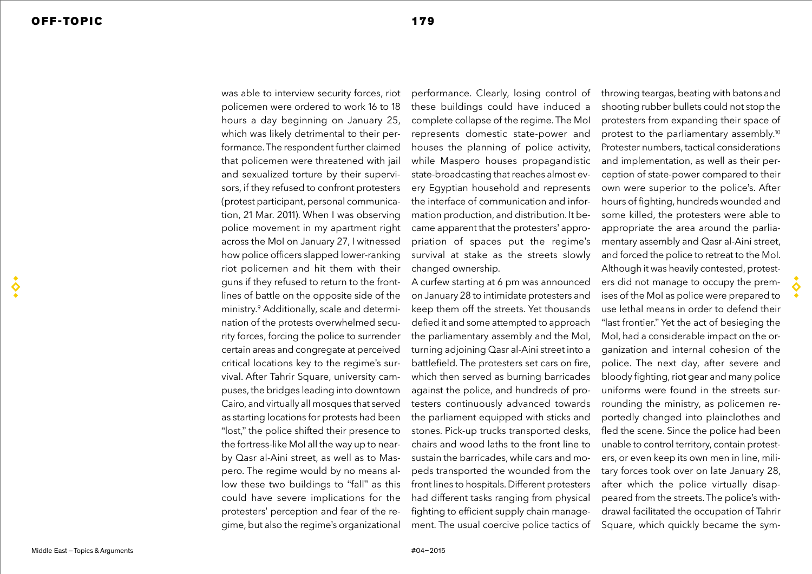$\breve{\mathbf{S}}$ 

was able to interview security forces, riot policemen were ordered to work 16 to 18 hours a day beginning on January 25, which was likely detrimental to their performance. The respondent further claimed that policemen were threatened with jail and sexualized torture by their supervisors, if they refused to confront protesters (protest participant, personal communication, 21 Mar. 2011). When I was observing police movement in my apartment right across the MoI on January 27, I witnessed how police officers slapped lower-ranking riot policemen and hit them with their guns if they refused to return to the frontlines of battle on the opposite side of the ministry.9 Additionally, scale and determination of the protests overwhelmed security forces, forcing the police to surrender certain areas and congregate at perceived critical locations key to the regime's survival. After Tahrir Square, university campuses, the bridges leading into downtown Cairo, and virtually all mosques that served as starting locations for protests had been "lost," the police shifted their presence to the fortress-like MoI all the way up to nearby Qasr al-Aini street, as well as to Maspero. The regime would by no means allow these two buildings to "fall" as this could have severe implications for the protesters' perception and fear of the regime, but also the regime's organizational

performance. Clearly, losing control of these buildings could have induced a complete collapse of the regime. The MoI represents domestic state-power and houses the planning of police activity, while Maspero houses propagandistic state-broadcasting that reaches almost every Egyptian household and represents the interface of communication and information production, and distribution. It became apparent that the protesters' appropriation of spaces put the regime's survival at stake as the streets slowly changed ownership.

A curfew starting at 6 pm was announced on January 28 to intimidate protesters and keep them off the streets. Yet thousands defied it and some attempted to approach the parliamentary assembly and the MoI, turning adjoining Qasr al-Aini street into a battlefield. The protesters set cars on fire, which then served as burning barricades against the police, and hundreds of protesters continuously advanced towards the parliament equipped with sticks and stones. Pick-up trucks transported desks, chairs and wood laths to the front line to sustain the barricades, while cars and mopeds transported the wounded from the front lines to hospitals. Different protesters had different tasks ranging from physical fighting to efficient supply chain management. The usual coercive police tactics of throwing teargas, beating with batons and shooting rubber bullets could not stop the protesters from expanding their space of protest to the parliamentary assembly.10 Protester numbers, tactical considerations and implementation, as well as their perception of state-power compared to their own were superior to the police's. After hours of fighting, hundreds wounded and some killed, the protesters were able to appropriate the area around the parliamentary assembly and Qasr al-Aini street, and forced the police to retreat to the MoI. Although it was heavily contested, protesters did not manage to occupy the premises of the MoI as police were prepared to use lethal means in order to defend their "last frontier." Yet the act of besieging the MoI, had a considerable impact on the organization and internal cohesion of the police. The next day, after severe and bloody fighting, riot gear and many police uniforms were found in the streets surrounding the ministry, as policemen reportedly changed into plainclothes and fled the scene. Since the police had been unable to control territory, contain protesters, or even keep its own men in line, military forces took over on late January 28, after which the police virtually disappeared from the streets. The police's with-

drawal facilitated the occupation of Tahrir Square, which quickly became the sym-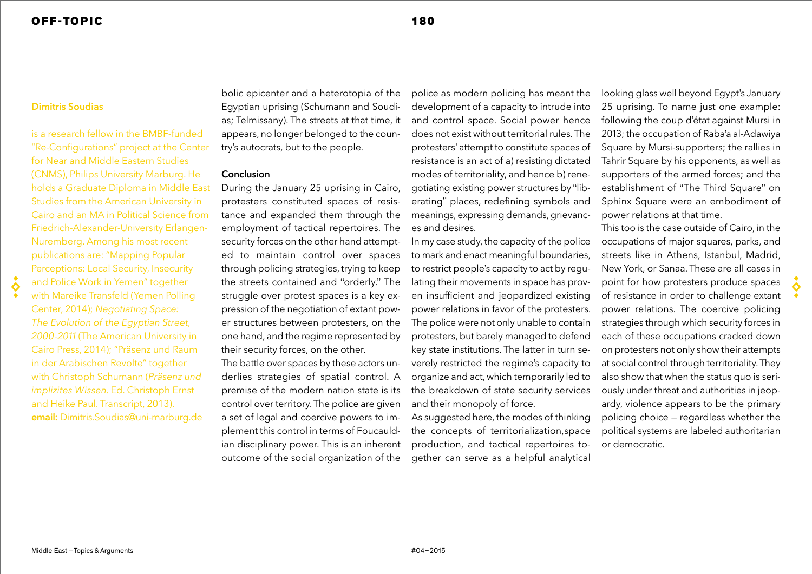## **Dimitris Soudias**

 $\ddot{\bullet}$ 

is a research fellow in the BMBF-funded "Re-Configurations" project at the Center for Near and Middle Eastern Studies (CNMS), Philips University Marburg. He holds a Graduate Diploma in Middle East Studies from the American University in Cairo and an MA in Political Science from Friedrich-Alexander-University Erlangen-Nuremberg. Among his most recent publications are: "Mapping Popular Perceptions: Local Security, Insecurity and Police Work in Yemen" together with Mareike Transfeld (Yemen Polling Center, 2014); *Negotiating Space: The Evolution of the Egyptian Street, 2000-2011* (The American University in Cairo Press, 2014); "Präsenz und Raum in der Arabischen Revolte" together with Christoph Schumann (*Präsenz und implizites Wissen*. Ed. Christoph Ernst and Heike Paul. Transcript, 2013). **email:** Dimitris.Soudias@uni-marburg.de

bolic epicenter and a heterotopia of the Egyptian uprising (Schumann and Soudias; Telmissany). The streets at that time, it appears, no longer belonged to the country's autocrats, but to the people.

## Conclusion

During the January 25 uprising in Cairo, protesters constituted spaces of resistance and expanded them through the employment of tactical repertoires. The security forces on the other hand attempted to maintain control over spaces through policing strategies, trying to keep the streets contained and "orderly." The struggle over protest spaces is a key expression of the negotiation of extant power structures between protesters, on the one hand, and the regime represented by their security forces, on the other.

The battle over spaces by these actors underlies strategies of spatial control. A premise of the modern nation state is its control over territory. The police are given a set of legal and coercive powers to implement this control in terms of Foucauldian disciplinary power. This is an inherent outcome of the social organization of the

police as modern policing has meant the development of a capacity to intrude into and control space. Social power hence does not exist without territorial rules. The protesters' attempt to constitute spaces of resistance is an act of a) resisting dictated modes of territoriality, and hence b) renegotiating existing power structures by "liberating" places, redefining symbols and meanings, expressing demands, grievances and desires.

In my case study, the capacity of the police to mark and enact meaningful boundaries, to restrict people's capacity to act by regulating their movements in space has proven insufficient and jeopardized existing power relations in favor of the protesters. The police were not only unable to contain protesters, but barely managed to defend key state institutions. The latter in turn severely restricted the regime's capacity to organize and act, which temporarily led to the breakdown of state security services and their monopoly of force.

As suggested here, the modes of thinking the concepts of territorialization,space production, and tactical repertoires together can serve as a helpful analytical

looking glass well beyond Egypt's January 25 uprising. To name just one example: following the coup d'état against Mursi in 2013; the occupation of Raba'a al-Adawiya Square by Mursi-supporters; the rallies in Tahrir Square by his opponents, as well as supporters of the armed forces; and the establishment of "The Third Square" on Sphinx Square were an embodiment of power relations at that time.

This too is the case outside of Cairo, in the occupations of major squares, parks, and streets like in Athens, Istanbul, Madrid, New York, or Sanaa. These are all cases in point for how protesters produce spaces of resistance in order to challenge extant power relations. The coercive policing strategies through which security forces in each of these occupations cracked down on protesters not only show their attempts at social control through territoriality. They also show that when the status quo is seriously under threat and authorities in jeopardy, violence appears to be the primary policing choice — regardless whether the political systems are labeled authoritarian or democratic.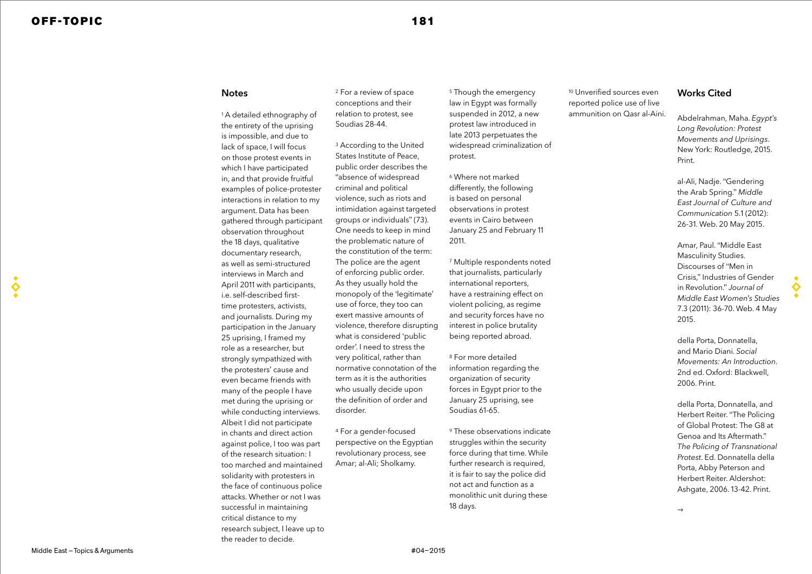♦

#### **Notes**

1 A detailed ethnography of the entirety of the uprising is impossible, and due to lack of space, I will focus on those protest events in which I have participated in, and that provide fruitful examples of police-protester interactions in relation to my argument. Data has been gathered through participant observation throughout the 18 days, qualitative documentary research, as well as semi-structured interviews in March and April 2011 with participants, i.e. self-described firsttime protesters, activists, and journalists. During my participation in the January 25 uprising, I framed my role as a researcher, but strongly sympathized with the protesters' cause and even became friends with many of the people I have met during the uprising or while conducting interviews. Albeit I did not participate in chants and direct action against police, I too was part of the research situation: I too marched and maintained solidarity with protesters in the face of continuous police attacks. Whether or not I was successful in maintaining critical distance to my research subject, I leave up to the reader to decide.

2 For a review of space conceptions and their relation to protest, see Soudias 28-44.

<sup>3</sup> According to the United States Institute of Peace, public order describes the "absence of widespread criminal and political violence, such as riots and intimidation against targeted groups or individuals" (73). One needs to keep in mind the problematic nature of the constitution of the term: The police are the agent of enforcing public order. As they usually hold the monopoly of the 'legitimate' use of force, they too can exert massive amounts of violence, therefore disrupting what is considered 'public order'. I need to stress the very political, rather than normative connotation of the term as it is the authorities who usually decide upon the definition of order and disorder.

4 For a gender-focused perspective on the Egyptian revolutionary process, see Amar; al-Ali; Sholkamy.

5 Though the emergency law in Egypt was formally suspended in 2012, a new protest law introduced in late 2013 perpetuates the widespread criminalization of protest.

6 Where not marked differently, the following is based on personal observations in protest events in Cairo between January 25 and February 11 2011.

7 Multiple respondents noted that journalists, particularly international reporters, have a restraining effect on violent policing, as regime and security forces have no interest in police brutality being reported abroad.

8 For more detailed information regarding the organization of security forces in Egypt prior to the January 25 uprising, see Soudias 61-65.

9 These observations indicate struggles within the security force during that time. While further research is required, it is fair to say the police did not act and function as a monolithic unit during these 18 days.

<sup>10</sup> Unverified sources even reported police use of live ammunition on Qasr al-Aini.

### Works Cited

Abdelrahman, Maha. *Egypt's Long Revolution: Protest Movements and Uprisings*. New York: Routledge, 2015. Print.

al-Ali, Nadje. "Gendering the Arab Spring." *Middle East Journal of Culture and Communication* 5.1 (2012): 26-31. Web. 20 May 2015.

Amar, Paul. "Middle East Masculinity Studies. Discourses of "Men in Crisis," Industries of Gender in Revolution." *Journal of Middle East Women's Studies* 7.3 (2011): 36-70. Web. 4 May 2015.

della Porta, Donnatella, and Herbert Reiter. "The Policing of Global Protest: The G8 at Genoa and Its Aftermath." *The Policing of Transnational Protest*. Ed. Donnatella della Porta, Abby Peterson and Herbert Reiter. Aldershot: Ashgate, 2006. 13-42. Print.

2006. Print.

♦